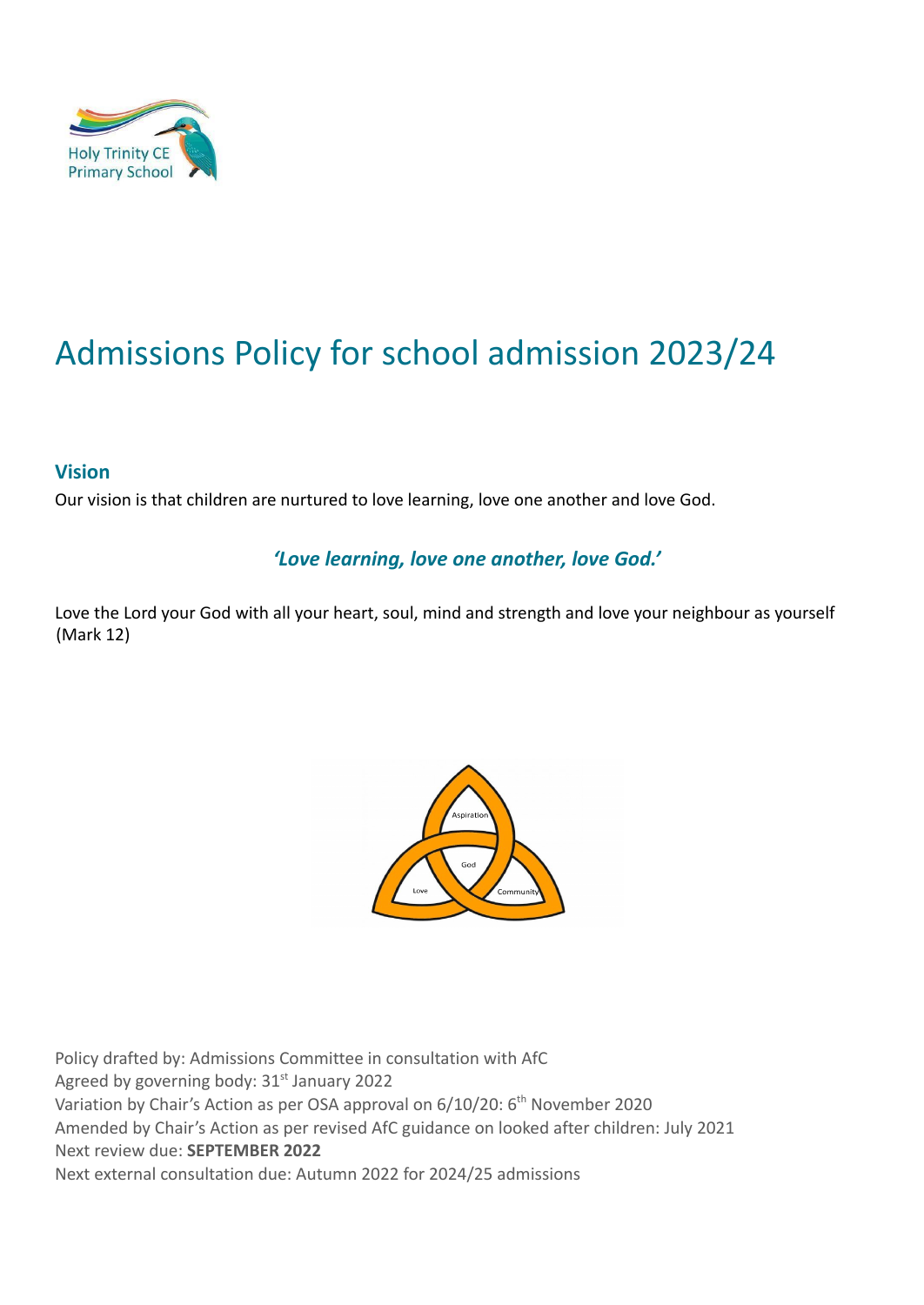

# Admissions Policy for school admission 2023/24

#### **Vision**

Our vision is that children are nurtured to love learning, love one another and love God.

#### *'Love learning, love one another, love God.'*

Love the Lord your God with all your heart, soul, mind and strength and love your neighbour as yourself (Mark 12)



Policy drafted by: Admissions Committee in consultation with AfC Agreed by governing body: 31<sup>st</sup> January 2022 Variation by Chair's Action as per OSA approval on 6/10/20: 6<sup>th</sup> November 2020 Amended by Chair's Action as per revised AfC guidance on looked after children: July 2021 Next review due: **SEPTEMBER 2022** Next external consultation due: Autumn 2022 for 2024/25 admissions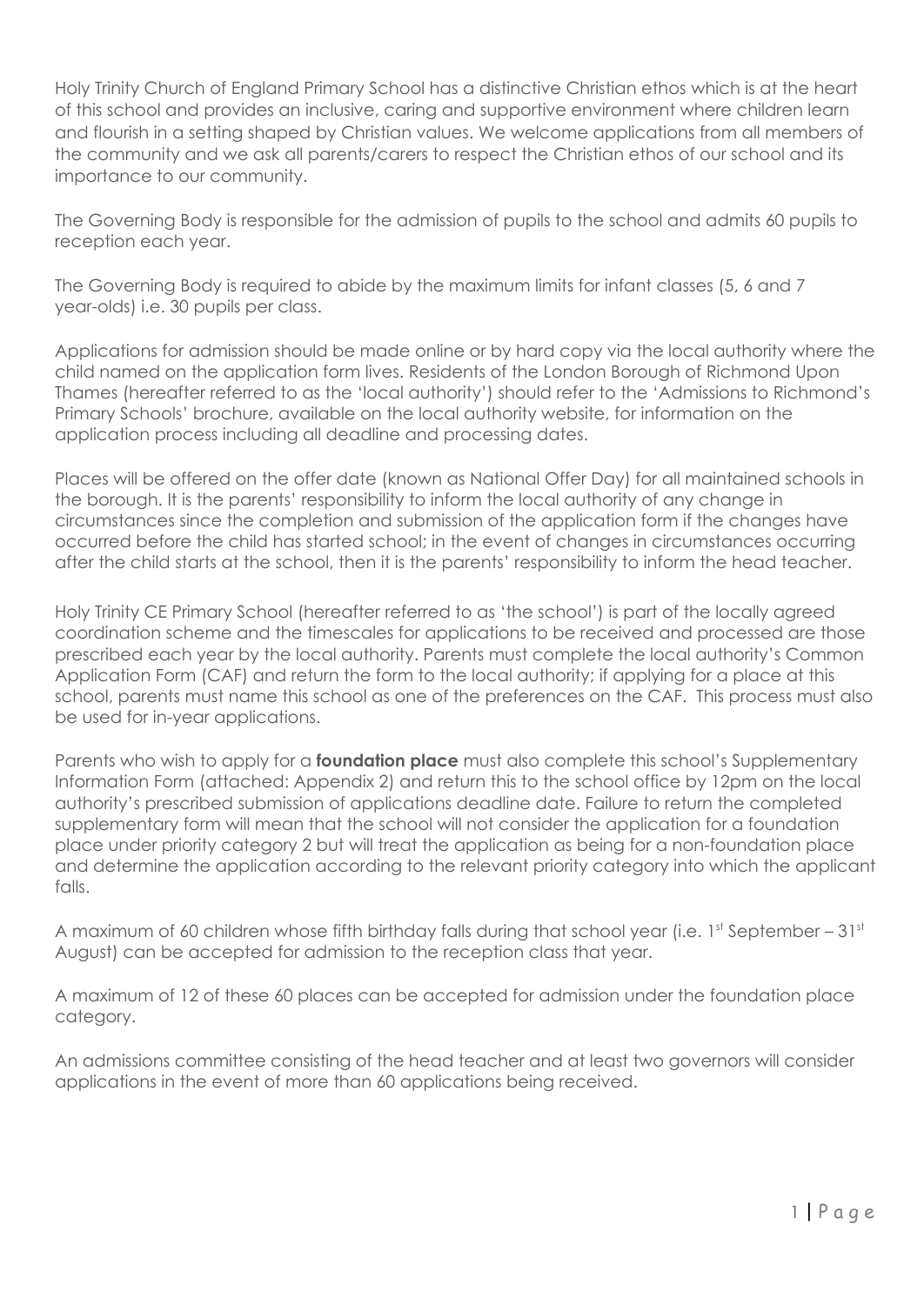Holy Trinity Church of England Primary School has a distinctive Christian ethos which is at the heart of this school and provides an inclusive, caring and supportive environment where children learn and flourish in a setting shaped by Christian values. We welcome applications from all members of the community and we ask all parents/carers to respect the Christian ethos of our school and its importance to our community.

The Governing Body is responsible for the admission of pupils to the school and admits 60 pupils to reception each year.

The Governing Body is required to abide by the maximum limits for infant classes (5, 6 and 7 year-olds) i.e. 30 pupils per class.

Applications for admission should be made online or by hard copy via the local authority where the child named on the application form lives. Residents of the London Borough of Richmond Upon Thames (hereafter referred to as the 'local authority') should refer to the 'Admissions to Richmond's Primary Schools' brochure, available on the local authority website, for information on the application process including all deadline and processing dates.

Places will be offered on the offer date (known as National Offer Day) for all maintained schools in the borough. It is the parents' responsibility to inform the local authority of any change in circumstances since the completion and submission of the application form if the changes have occurred before the child has started school; in the event of changes in circumstances occurring after the child starts at the school, then it is the parents' responsibility to inform the head teacher.

Holy Trinity CE Primary School (hereafter referred to as 'the school') is part of the locally agreed coordination scheme and the timescales for applications to be received and processed are those prescribed each year by the local authority. Parents must complete the local authority's Common Application Form (CAF) and return the form to the local authority; if applying for a place at this school, parents must name this school as one of the preferences on the CAF. This process must also be used for in-year applications.

Parents who wish to apply for a **foundation place** must also complete this school's Supplementary Information Form (attached: Appendix 2) and return this to the school office by 12pm on the local authority's prescribed submission of applications deadline date. Failure to return the completed supplementary form will mean that the school will not consider the application for a foundation place under priority category 2 but will treat the application as being for a non-foundation place and determine the application according to the relevant priority category into which the applicant falls.

A maximum of 60 children whose fifth birthday falls during that school year (i.e. 1st September – 31st August) can be accepted for admission to the reception class that year.

A maximum of 12 of these 60 places can be accepted for admission under the foundation place category.

An admissions committee consisting of the head teacher and at least two governors will consider applications in the event of more than 60 applications being received.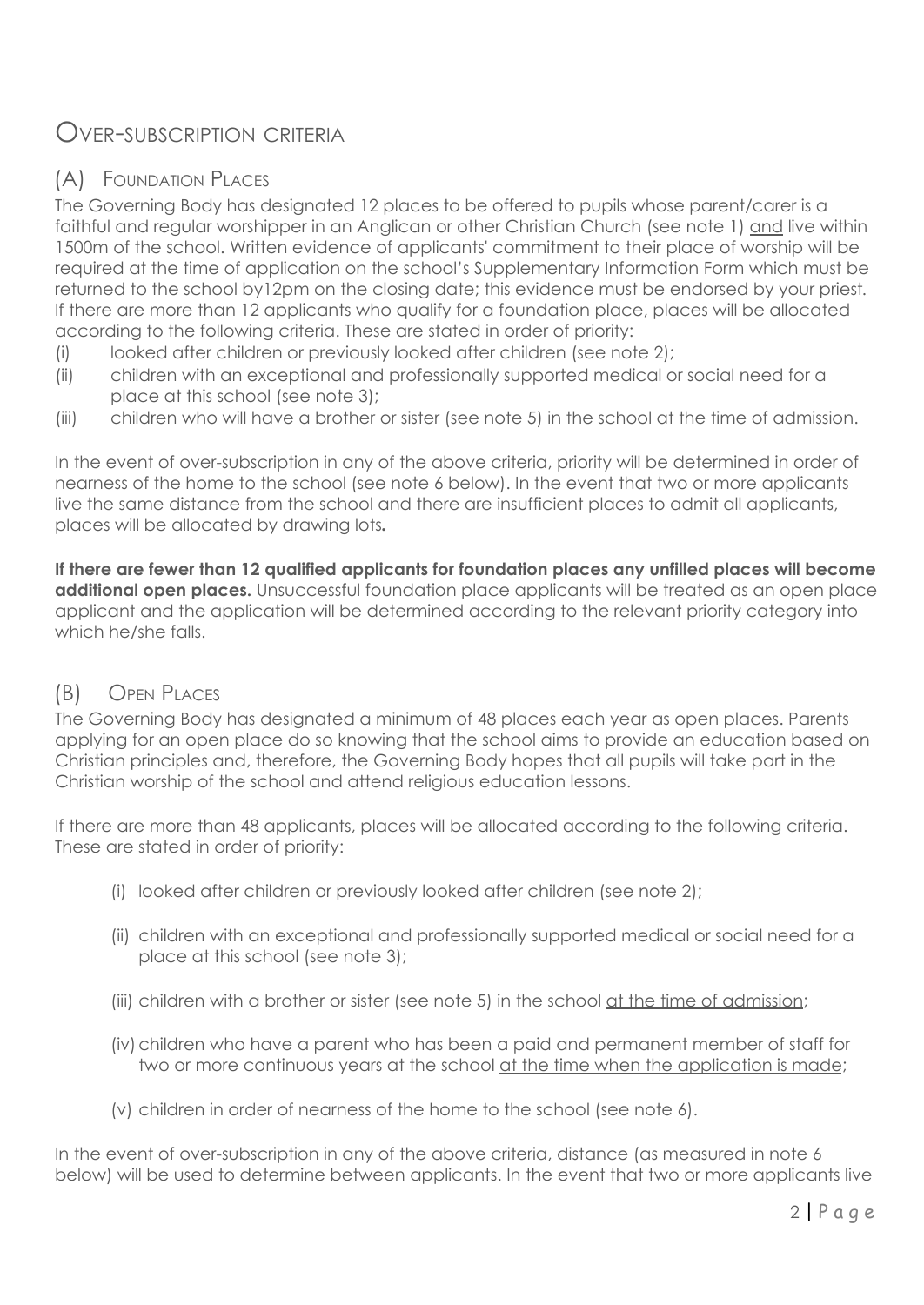# OVER-SUBSCRIPTION CRITERIA

# (A) FOUNDATION PLACES

The Governing Body has designated 12 places to be offered to pupils whose parent/carer is a faithful and regular worshipper in an Anglican or other Christian Church (see note 1) and live within 1500m of the school. Written evidence of applicants' commitment to their place of worship will be required at the time of application on the school's Supplementary Information Form which must be returned to the school by12pm on the closing date; this evidence must be endorsed by your priest*.* If there are more than 12 applicants who qualify for a foundation place, places will be allocated according to the following criteria. These are stated in order of priority:

- (i) looked after children or previously looked after children (see note 2);
- (ii) children with an exceptional and professionally supported medical or social need for a place at this school (see note 3);
- (iii) children who will have a brother or sister (see note 5) in the school at the time of admission.

In the event of over-subscription in any of the above criteria, priority will be determined in order of nearness of the home to the school (see note 6 below). In the event that two or more applicants live the same distance from the school and there are insufficient places to admit all applicants, places will be allocated by drawing lots*.*

**If there are fewer than 12 qualified applicants for foundation places any unfilled places will become additional open places.** Unsuccessful foundation place applicants will be treated as an open place applicant and the application will be determined according to the relevant priority category into which he/she falls.

### (B) OPEN PLACES

The Governing Body has designated a minimum of 48 places each year as open places. Parents applying for an open place do so knowing that the school aims to provide an education based on Christian principles and, therefore, the Governing Body hopes that all pupils will take part in the Christian worship of the school and attend religious education lessons.

If there are more than 48 applicants, places will be allocated according to the following criteria. These are stated in order of priority:

- (i) looked after children or previously looked after children (see note 2);
- (ii) children with an exceptional and professionally supported medical or social need for a place at this school (see note 3);
- (iii) children with a brother or sister (see note 5) in the school at the time of admission;
- (iv)children who have a parent who has been a paid and permanent member of staff for two or more continuous years at the school at the time when the application is made;
- (v) children in order of nearness of the home to the school (see note 6).

In the event of over-subscription in any of the above criteria, distance (as measured in note 6 below) will be used to determine between applicants. In the event that two or more applicants live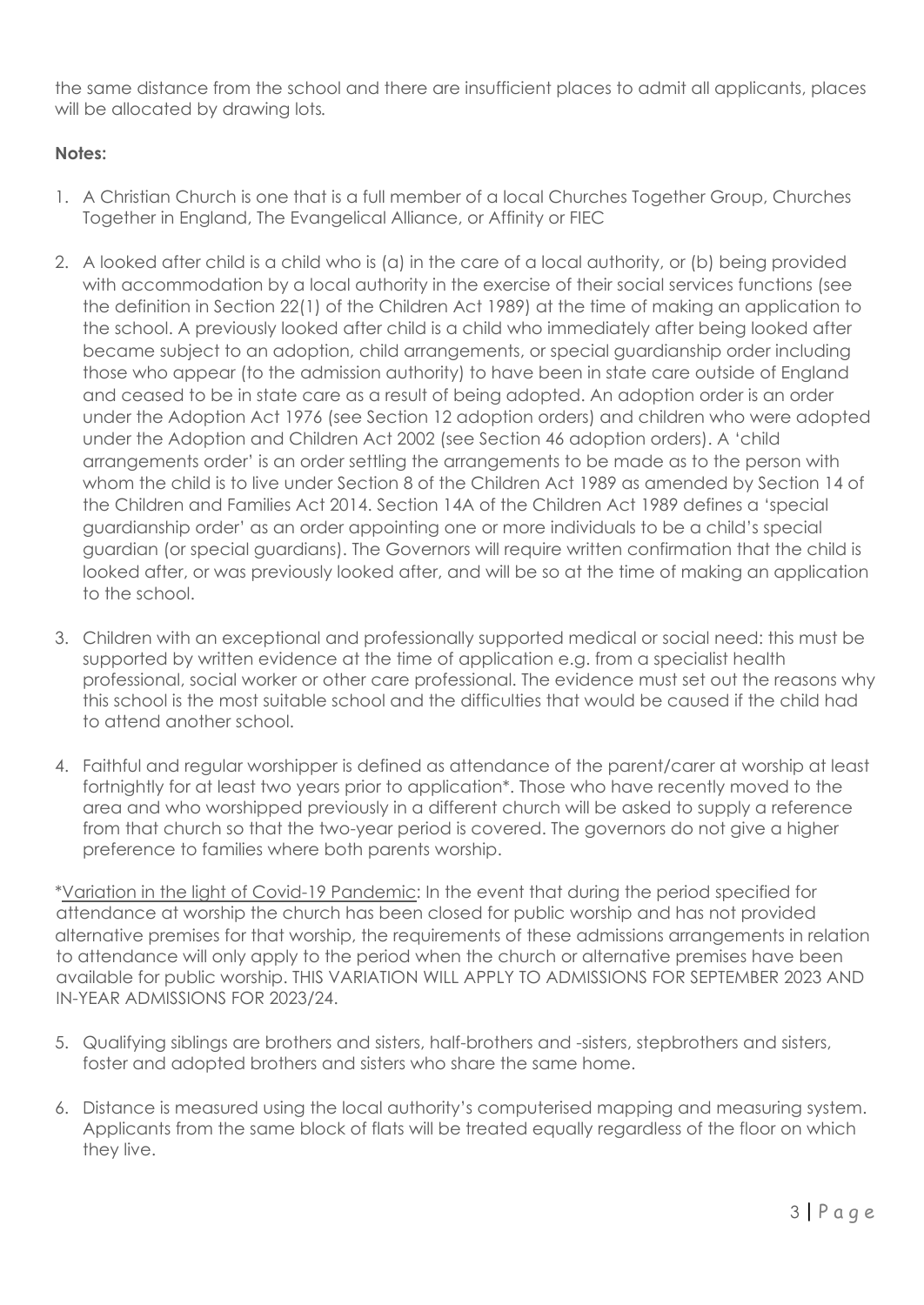the same distance from the school and there are insufficient places to admit all applicants, places will be allocated by drawing lots*.*

#### **Notes:**

- 1. A Christian Church is one that is a full member of a local Churches Together Group, Churches Together in England, The Evangelical Alliance, or Affinity or FIEC
- 2. A looked after child is a child who is (a) in the care of a local authority, or (b) being provided with accommodation by a local authority in the exercise of their social services functions (see the definition in Section 22(1) of the Children Act 1989) at the time of making an application to the school. A previously looked after child is a child who immediately after being looked after became subject to an adoption, child arrangements, or special guardianship order including those who appear (to the admission authority) to have been in state care outside of England and ceased to be in state care as a result of being adopted. An adoption order is an order under the Adoption Act 1976 (see Section 12 adoption orders) and children who were adopted under the Adoption and Children Act 2002 (see Section 46 adoption orders). A 'child arrangements order' is an order settling the arrangements to be made as to the person with whom the child is to live under Section 8 of the Children Act 1989 as amended by Section 14 of the Children and Families Act 2014. Section 14A of the Children Act 1989 defines a 'special guardianship order' as an order appointing one or more individuals to be a child's special guardian (or special guardians). The Governors will require written confirmation that the child is looked after, or was previously looked after, and will be so at the time of making an application to the school.
- 3. Children with an exceptional and professionally supported medical or social need: this must be supported by written evidence at the time of application e.g. from a specialist health professional, social worker or other care professional. The evidence must set out the reasons why this school is the most suitable school and the difficulties that would be caused if the child had to attend another school.
- 4. Faithful and regular worshipper is defined as attendance of the parent/carer at worship at least fortnightly for at least two years prior to application\*. Those who have recently moved to the area and who worshipped previously in a different church will be asked to supply a reference from that church so that the two-year period is covered. The governors do not give a higher preference to families where both parents worship.

\*Variation in the light of Covid-19 Pandemic: In the event that during the period specified for attendance at worship the church has been closed for public worship and has not provided alternative premises for that worship, the requirements of these admissions arrangements in relation to attendance will only apply to the period when the church or alternative premises have been available for public worship. THIS VARIATION WILL APPLY TO ADMISSIONS FOR SEPTEMBER 2023 AND IN-YEAR ADMISSIONS FOR 2023/24.

- 5. Qualifying siblings are brothers and sisters, half-brothers and -sisters, stepbrothers and sisters, foster and adopted brothers and sisters who share the same home.
- 6. Distance is measured using the local authority's computerised mapping and measuring system. Applicants from the same block of flats will be treated equally regardless of the floor on which they live.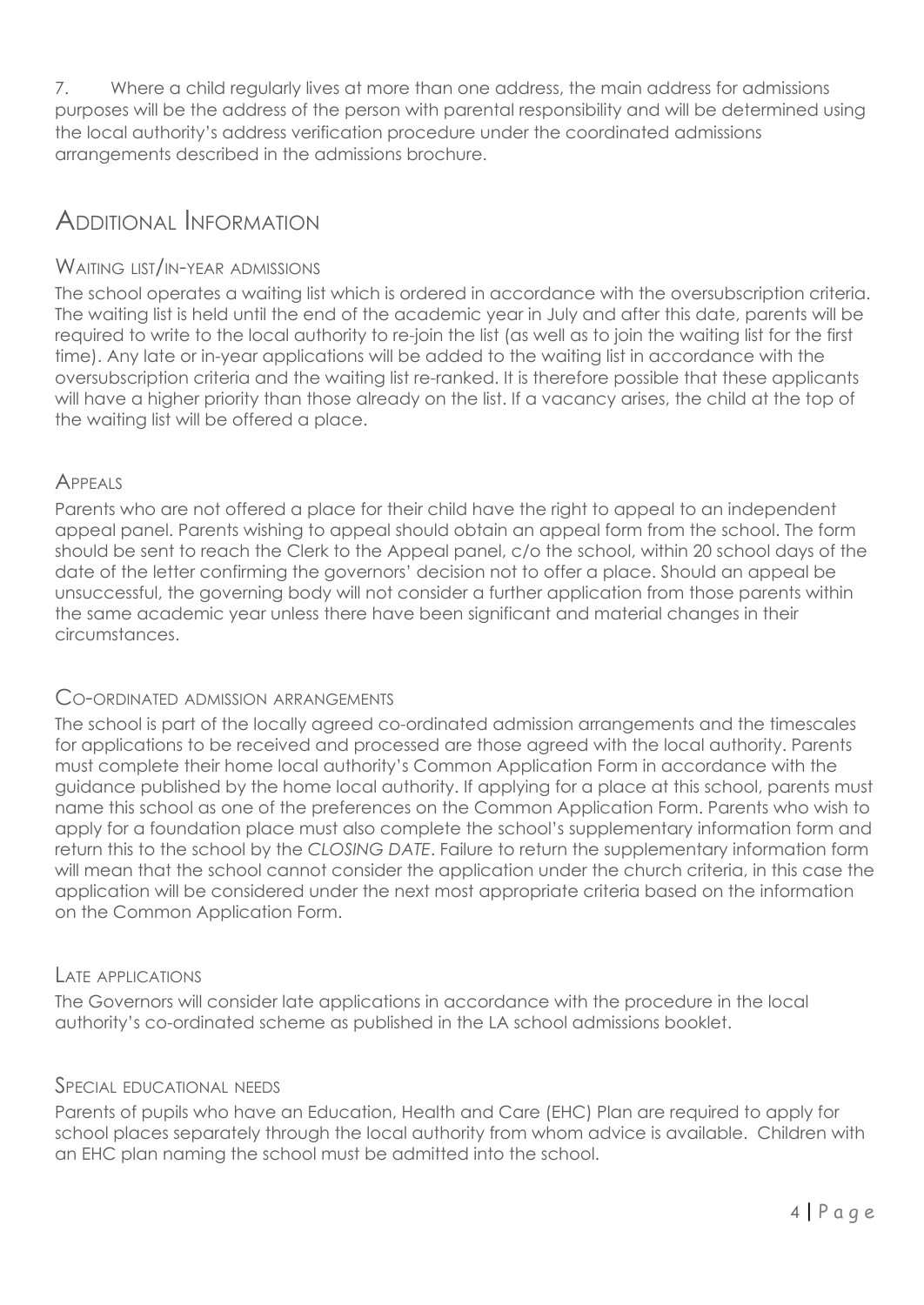7. Where a child regularly lives at more than one address, the main address for admissions purposes will be the address of the person with parental responsibility and will be determined using the local authority's address verification procedure under the coordinated admissions arrangements described in the admissions brochure.

# ADDITIONAL INFORMATION

#### WAITING LIST/IN-YEAR ADMISSIONS

The school operates a waiting list which is ordered in accordance with the oversubscription criteria. The waiting list is held until the end of the academic year in July and after this date, parents will be required to write to the local authority to re-join the list (as well as to join the waiting list for the first time). Any late or in-year applications will be added to the waiting list in accordance with the oversubscription criteria and the waiting list re-ranked. It is therefore possible that these applicants will have a higher priority than those already on the list. If a vacancy arises, the child at the top of the waiting list will be offered a place.

#### **APPEALS**

Parents who are not offered a place for their child have the right to appeal to an independent appeal panel. Parents wishing to appeal should obtain an appeal form from the school. The form should be sent to reach the Clerk to the Appeal panel, c/o the school, within 20 school days of the date of the letter confirming the governors' decision not to offer a place. Should an appeal be unsuccessful, the governing body will not consider a further application from those parents within the same academic year unless there have been significant and material changes in their circumstances.

#### CO-ORDINATED ADMISSION ARRANGEMENTS

The school is part of the locally agreed co-ordinated admission arrangements and the timescales for applications to be received and processed are those agreed with the local authority. Parents must complete their home local authority's Common Application Form in accordance with the guidance published by the home local authority. If applying for a place at this school, parents must name this school as one of the preferences on the Common Application Form. Parents who wish to apply for a foundation place must also complete the school's supplementary information form and return this to the school by the *CLOSING DATE*. Failure to return the supplementary information form will mean that the school cannot consider the application under the church criteria, in this case the application will be considered under the next most appropriate criteria based on the information on the Common Application Form.

#### LATE APPLICATIONS

The Governors will consider late applications in accordance with the procedure in the local authority's co-ordinated scheme as published in the LA school admissions booklet.

#### SPECIAL EDUCATIONAL NEEDS

Parents of pupils who have an Education, Health and Care (EHC) Plan are required to apply for school places separately through the local authority from whom advice is available. Children with an EHC plan naming the school must be admitted into the school.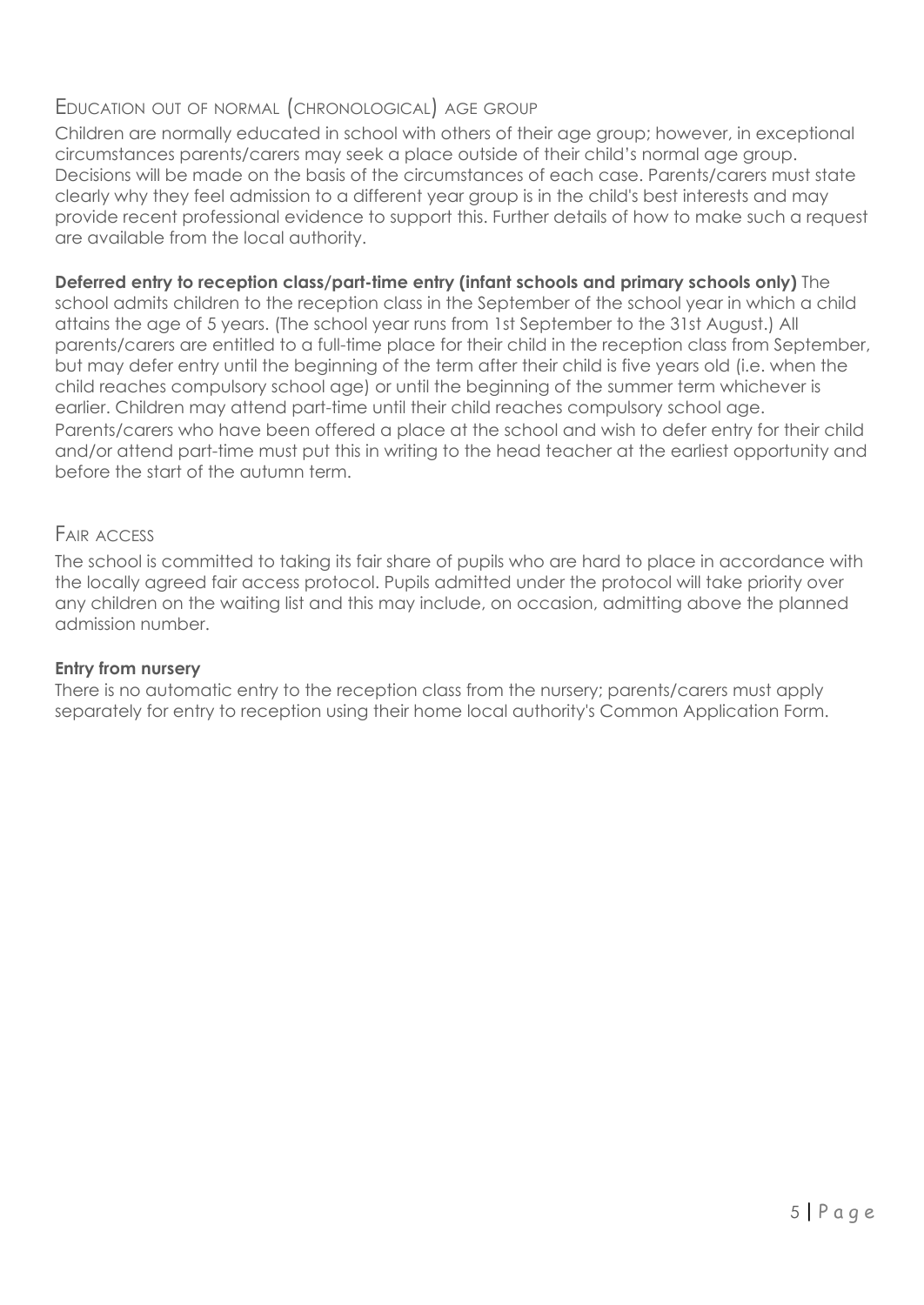#### EDUCATION OUT OF NORMAL (CHRONOLOGICAL) AGE GROUP

Children are normally educated in school with others of their age group; however, in exceptional circumstances parents/carers may seek a place outside of their child's normal age group. Decisions will be made on the basis of the circumstances of each case. Parents/carers must state clearly why they feel admission to a different year group is in the child's best interests and may provide recent professional evidence to support this. Further details of how to make such a request are available from the local authority.

#### **Deferred entry to reception class/part-time entry (infant schools and primary schools only)** The

school admits children to the reception class in the September of the school year in which a child attains the age of 5 years. (The school year runs from 1st September to the 31st August.) All parents/carers are entitled to a full-time place for their child in the reception class from September, but may defer entry until the beginning of the term after their child is five years old (i.e. when the child reaches compulsory school age) or until the beginning of the summer term whichever is earlier. Children may attend part-time until their child reaches compulsory school age. Parents/carers who have been offered a place at the school and wish to defer entry for their child and/or attend part-time must put this in writing to the head teacher at the earliest opportunity and before the start of the autumn term.

#### FAIR ACCESS

The school is committed to taking its fair share of pupils who are hard to place in accordance with the locally agreed fair access protocol. Pupils admitted under the protocol will take priority over any children on the waiting list and this may include, on occasion, admitting above the planned admission number.

#### **Entry from nursery**

There is no automatic entry to the reception class from the nursery; parents/carers must apply separately for entry to reception using their home local authority's Common Application Form.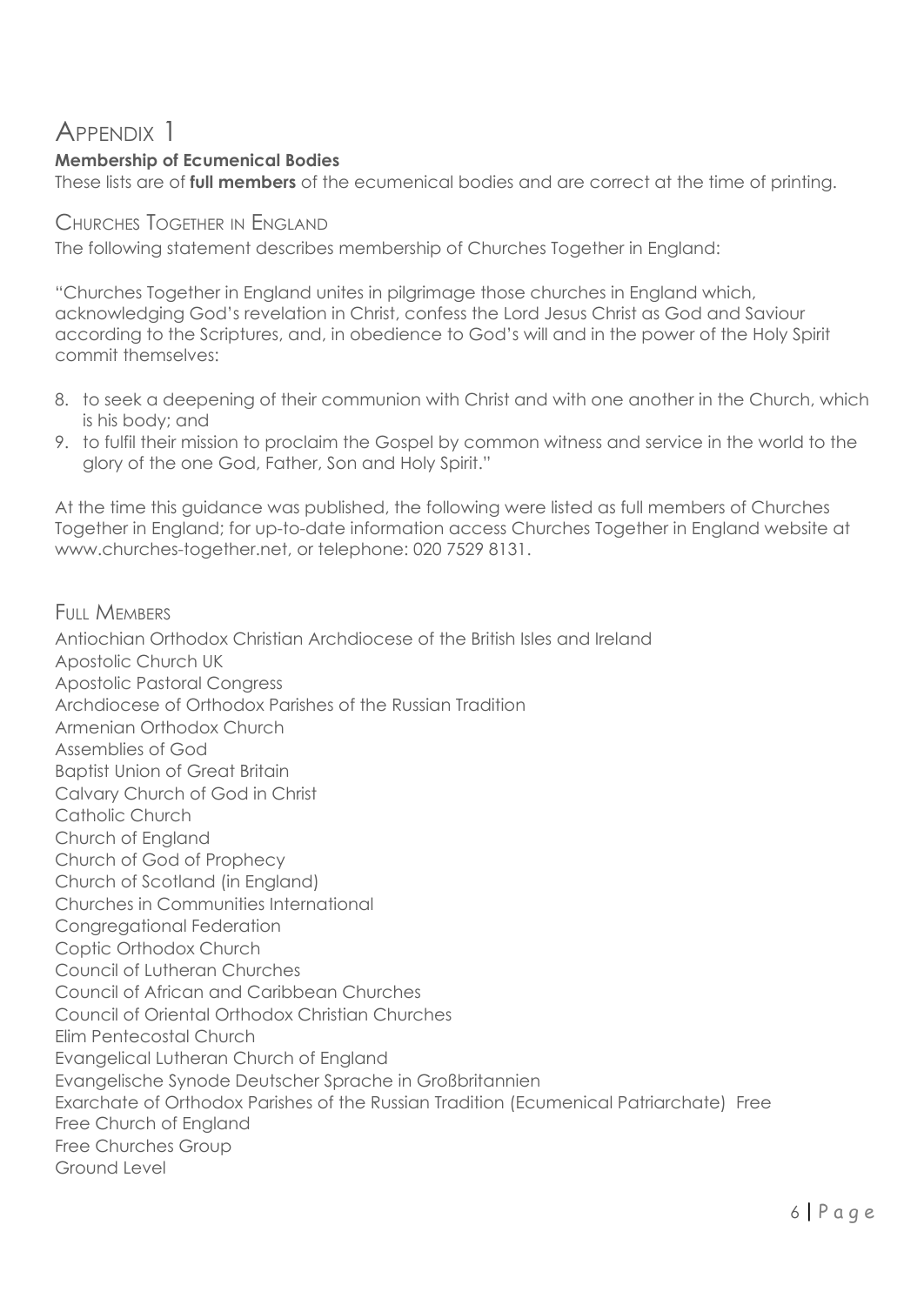# APPENDIX 1

## **Membership of Ecumenical Bodies**

These lists are of **full members** of the ecumenical bodies and are correct at the time of printing.

#### CHURCHES TOGETHER IN ENGLAND

The following statement describes membership of Churches Together in England:

"Churches Together in England unites in pilgrimage those churches in England which, acknowledging God's revelation in Christ, confess the Lord Jesus Christ as God and Saviour according to the Scriptures, and, in obedience to God's will and in the power of the Holy Spirit commit themselves:

- 8. to seek a deepening of their communion with Christ and with one another in the Church, which is his body; and
- 9. to fulfil their mission to proclaim the Gospel by common witness and service in the world to the glory of the one God, Father, Son and Holy Spirit."

At the time this guidance was published, the following were listed as full members of Churches Together in England; for up-to-date information access Churches Together in England website at www.churches-together.net, or telephone: 020 7529 8131.

FULL MEMBERS Antiochian Orthodox Christian Archdiocese of the British Isles and Ireland Apostolic Church UK Apostolic Pastoral Congress Archdiocese of Orthodox Parishes of the Russian Tradition Armenian Orthodox Church Assemblies of God Baptist Union of Great Britain Calvary Church of God in Christ Catholic Church Church of England Church of God of Prophecy Church of Scotland (in England) Churches in Communities International Congregational Federation Coptic Orthodox Church Council of Lutheran Churches Council of African and Caribbean Churches Council of Oriental Orthodox Christian Churches Elim Pentecostal Church Evangelical Lutheran Church of England Evangelische Synode Deutscher Sprache in Großbritannien Exarchate of Orthodox Parishes of the Russian Tradition (Ecumenical Patriarchate) Free Free Church of England Free Churches Group Ground Level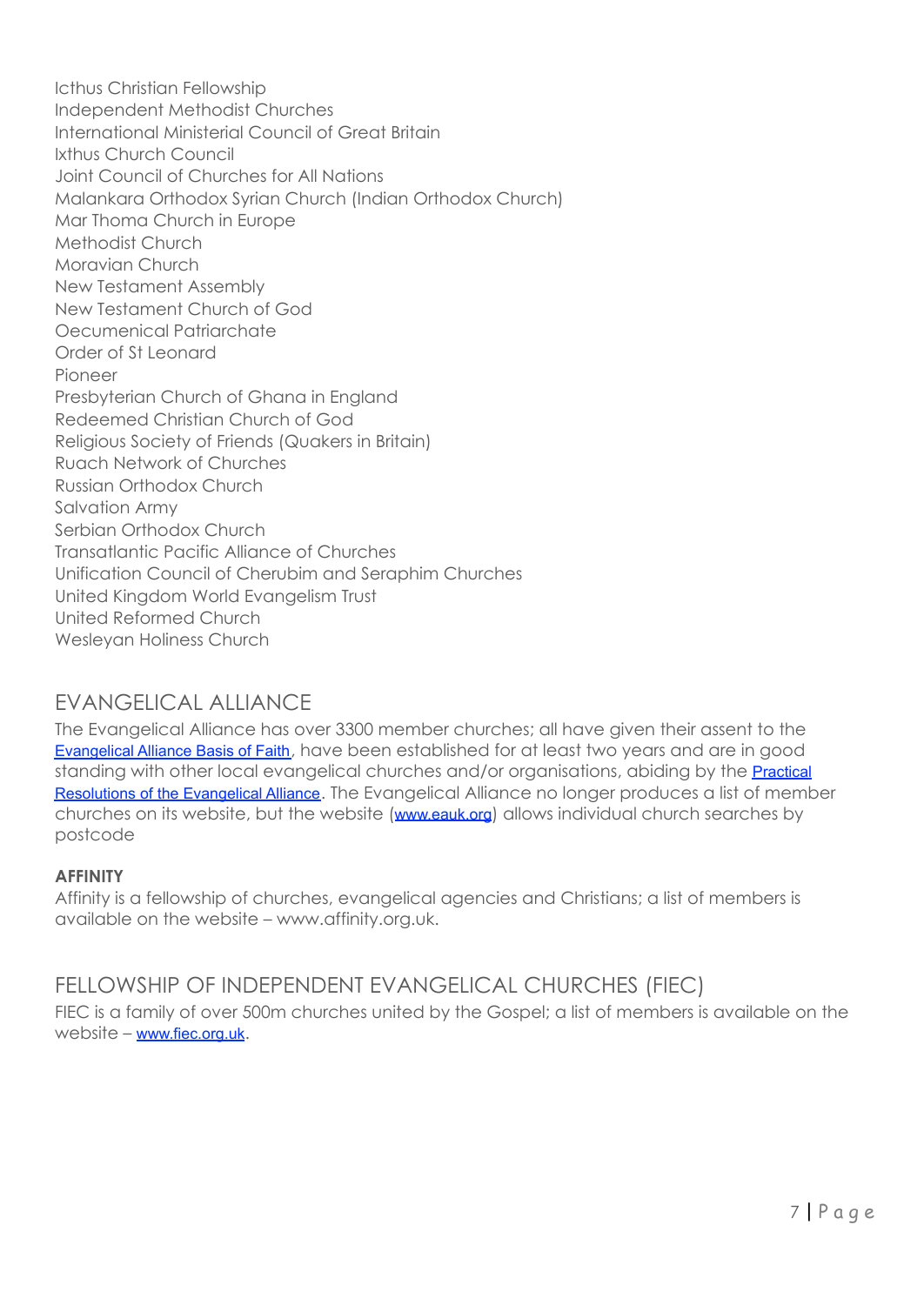Icthus Christian Fellowship Independent Methodist Churches International Ministerial Council of Great Britain Ixthus Church Council Joint Council of Churches for All Nations Malankara Orthodox Syrian Church (Indian Orthodox Church) Mar Thoma Church in Europe Methodist Church Moravian Church New Testament Assembly New Testament Church of God Oecumenical Patriarchate Order of St Leonard Pioneer Presbyterian Church of Ghana in England Redeemed Christian Church of God Religious Society of Friends (Quakers in Britain) Ruach Network of Churches Russian Orthodox Church Salvation Army Serbian Orthodox Church Transatlantic Pacific Alliance of Churches Unification Council of Cherubim and Seraphim Churches United Kingdom World Evangelism Trust United Reformed Church Wesleyan Holiness Church

### EVANGELICAL ALLIANCE

The Evangelical Alliance has over 3300 member churches; all have given their assent to the [Evangelical](http://www.eauk.org/about/basis-of-faith.cfm) Alliance Basis of Faith, have been established for at least two years and are in good standing with other local evangelical churches and/or organisations, abiding by the **[Practical](http://www.eauk.org/about/practical-resolutions.cfm)** [Resolutions](http://www.eauk.org/about/practical-resolutions.cfm) of the Evangelical Alliance. The Evangelical Alliance no longer produces a list of member churches on its website, but the website ([www.eauk.org](http://www.eauk.org/)) allows individual church searches by postcode

#### **AFFINITY**

Affinity is a fellowship of churches, evangelical agencies and Christians; a list of members is available on the website – www.affinity.org.uk.

### FELLOWSHIP OF INDEPENDENT EVANGELICAL CHURCHES (FIEC)

FIEC is a family of over 500m churches united by the Gospel; a list of members is available on the website – [www.fiec.org.uk](http://www.fiec.org.uk/).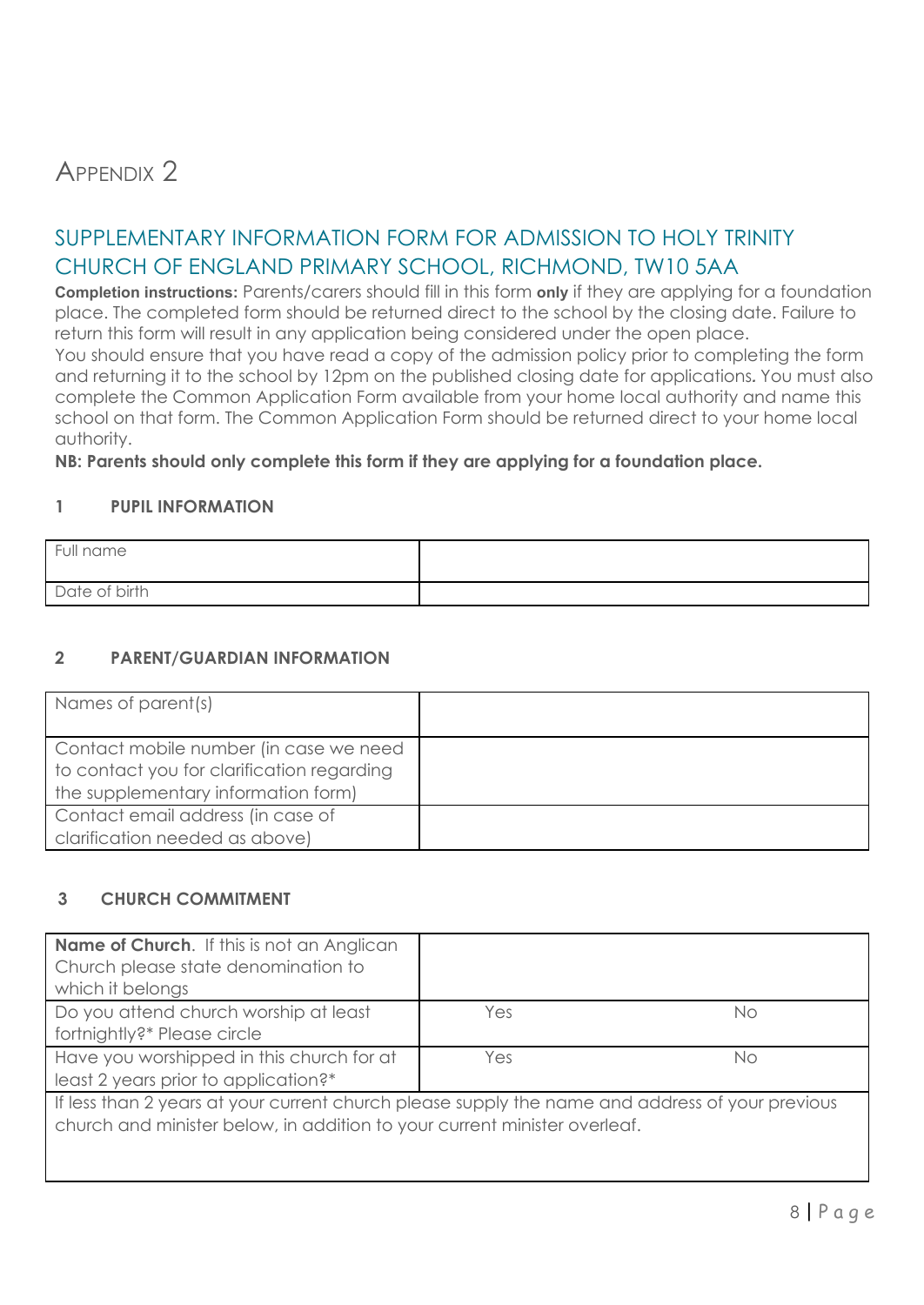# APPENDIX<sub>2</sub>

### SUPPLEMENTARY INFORMATION FORM FOR ADMISSION TO HOLY TRINITY CHURCH OF ENGLAND PRIMARY SCHOOL, RICHMOND, TW10 5AA

**Completion instructions:** Parents/carers should fill in this form **only** if they are applying for a foundation place. The completed form should be returned direct to the school by the closing date. Failure to return this form will result in any application being considered under the open place.

You should ensure that you have read a copy of the admission policy prior to completing the form and returning it to the school by 12pm on the published closing date for applications*.* You must also complete the Common Application Form available from your home local authority and name this school on that form. The Common Application Form should be returned direct to your home local authority.

**NB: Parents should only complete this form if they are applying for a foundation place.**

#### **1 PUPIL INFORMATION**

| Full name     |  |
|---------------|--|
| Date of birth |  |

#### **2 PARENT/GUARDIAN INFORMATION**

| Names of parent(s)                                                                                                          |  |
|-----------------------------------------------------------------------------------------------------------------------------|--|
| Contact mobile number (in case we need<br>to contact you for clarification regarding<br>the supplementary information form) |  |
| Contact email address (in case of<br>clarification needed as above)                                                         |  |

#### **3 CHURCH COMMITMENT**

| <b>Name of Church.</b> If this is not an Anglican<br>Church please state denomination to<br>which it belongs                                                                 |     |    |
|------------------------------------------------------------------------------------------------------------------------------------------------------------------------------|-----|----|
| Do you attend church worship at least<br>fortnightly?* Please circle                                                                                                         | Yes | Νo |
| Have you worshipped in this church for at<br>least 2 years prior to application?*                                                                                            | Yes | Νo |
| If less than 2 years at your current church please supply the name and address of your previous<br>church and minister below, in addition to your current minister overleaf. |     |    |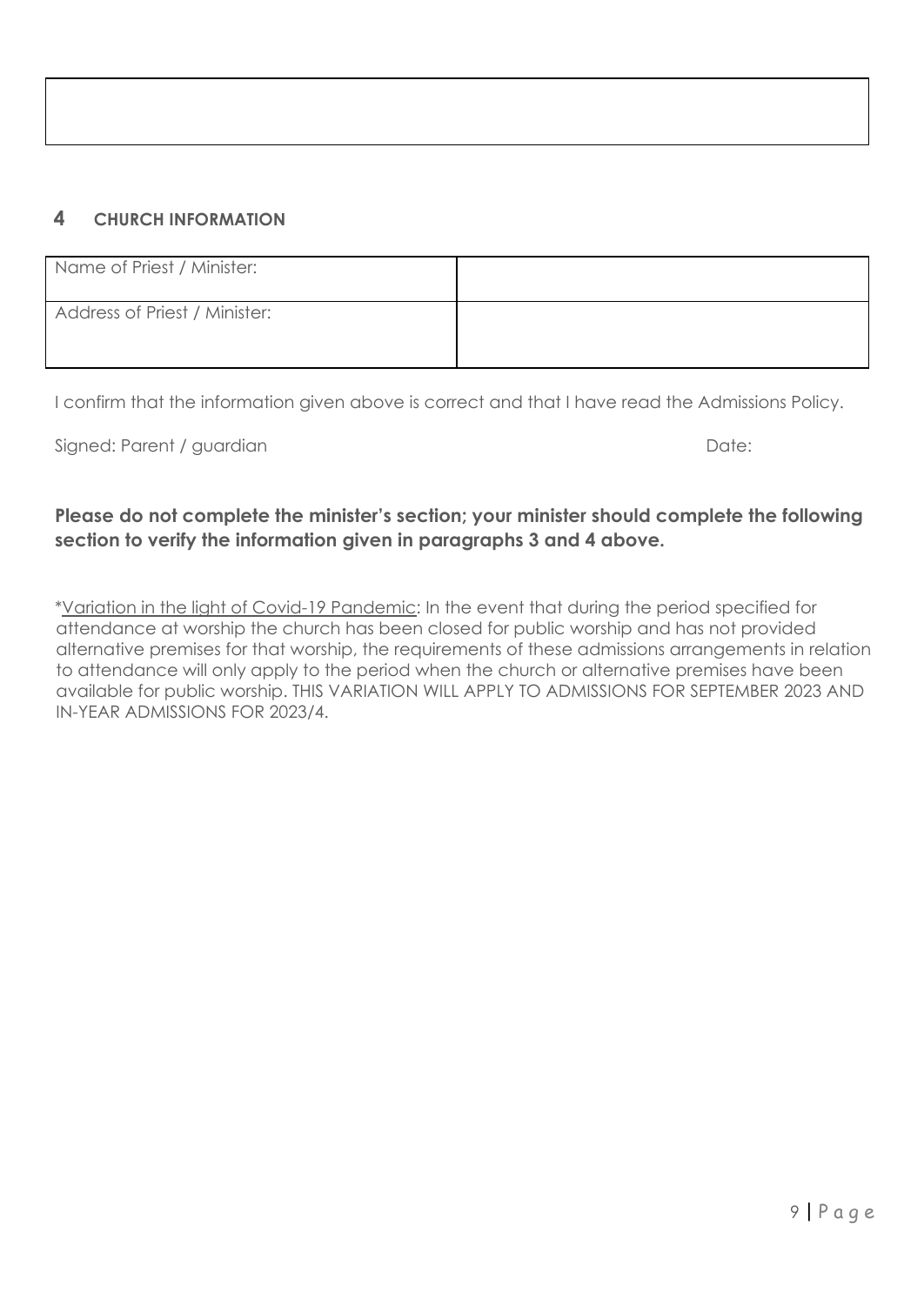| Name of Priest / Minister:    |  |
|-------------------------------|--|
| Address of Priest / Minister: |  |

I confirm that the information given above is correct and that I have read the Admissions Policy.

Signed: Parent / guardian Date: Date: Date: Date: Date: Date: Date: Date: Date: Date: Date: Date: Date: Date: Date: Date: Date: Date: Date: Date: Date: Date: Date: Date: Date: Date: Date: Date: Date: Date: Date: Date: Date

#### **Please do not complete the minister's section; your minister should complete the following section to verify the information given in paragraphs 3 and 4 above.**

\*Variation in the light of Covid-19 Pandemic: In the event that during the period specified for attendance at worship the church has been closed for public worship and has not provided alternative premises for that worship, the requirements of these admissions arrangements in relation to attendance will only apply to the period when the church or alternative premises have been available for public worship. THIS VARIATION WILL APPLY TO ADMISSIONS FOR SEPTEMBER 2023 AND IN-YEAR ADMISSIONS FOR 2023/4.